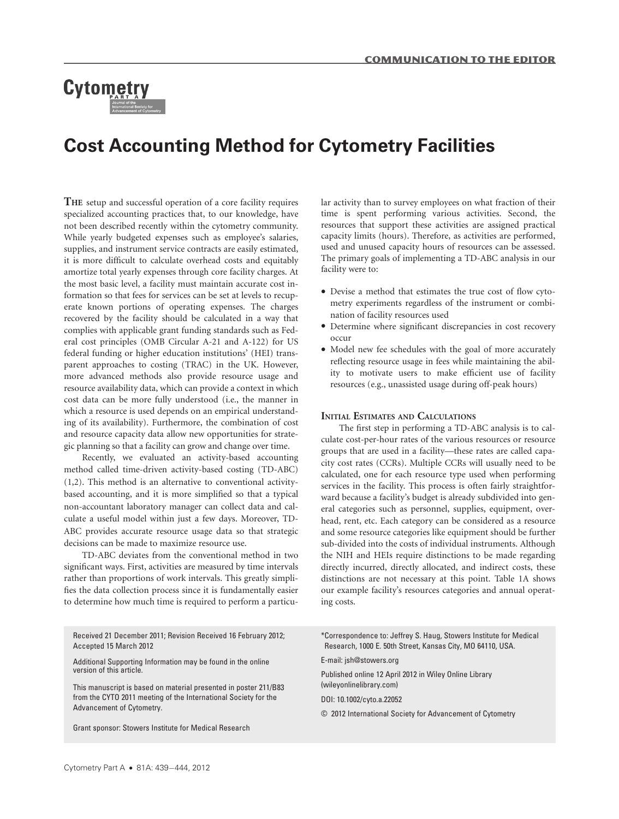# Cytometry

## Cost Accounting Method for Cytometry Facilities

THE setup and successful operation of a core facility requires specialized accounting practices that, to our knowledge, have not been described recently within the cytometry community. While yearly budgeted expenses such as employee's salaries, supplies, and instrument service contracts are easily estimated, it is more difficult to calculate overhead costs and equitably amortize total yearly expenses through core facility charges. At the most basic level, a facility must maintain accurate cost information so that fees for services can be set at levels to recuperate known portions of operating expenses. The charges recovered by the facility should be calculated in a way that complies with applicable grant funding standards such as Federal cost principles (OMB Circular A-21 and A-122) for US federal funding or higher education institutions' (HEI) transparent approaches to costing (TRAC) in the UK. However, more advanced methods also provide resource usage and resource availability data, which can provide a context in which cost data can be more fully understood (i.e., the manner in which a resource is used depends on an empirical understanding of its availability). Furthermore, the combination of cost and resource capacity data allow new opportunities for strategic planning so that a facility can grow and change over time.

Recently, we evaluated an activity-based accounting method called time-driven activity-based costing (TD-ABC) (1,2). This method is an alternative to conventional activitybased accounting, and it is more simplified so that a typical non-accountant laboratory manager can collect data and calculate a useful model within just a few days. Moreover, TD-ABC provides accurate resource usage data so that strategic decisions can be made to maximize resource use.

TD-ABC deviates from the conventional method in two significant ways. First, activities are measured by time intervals rather than proportions of work intervals. This greatly simplifies the data collection process since it is fundamentally easier to determine how much time is required to perform a particular activity than to survey employees on what fraction of their time is spent performing various activities. Second, the resources that support these activities are assigned practical capacity limits (hours). Therefore, as activities are performed, used and unused capacity hours of resources can be assessed. The primary goals of implementing a TD-ABC analysis in our facility were to:

- Devise a method that estimates the true cost of flow cytometry experiments regardless of the instrument or combination of facility resources used
- Determine where significant discrepancies in cost recovery occur
- $\bullet$  Model new fee schedules with the goal of more accurately reflecting resource usage in fees while maintaining the ability to motivate users to make efficient use of facility resources (e.g., unassisted usage during off-peak hours)

#### INITIAL ESTIMATES AND CALCULATIONS

The first step in performing a TD-ABC analysis is to calculate cost-per-hour rates of the various resources or resource groups that are used in a facility—these rates are called capacity cost rates (CCRs). Multiple CCRs will usually need to be calculated, one for each resource type used when performing services in the facility. This process is often fairly straightforward because a facility's budget is already subdivided into general categories such as personnel, supplies, equipment, overhead, rent, etc. Each category can be considered as a resource and some resource categories like equipment should be further sub-divided into the costs of individual instruments. Although the NIH and HEIs require distinctions to be made regarding directly incurred, directly allocated, and indirect costs, these distinctions are not necessary at this point. Table 1A shows our example facility's resources categories and annual operating costs.

| Received 21 December 2011; Revision Received 16 February 2012;<br>Accepted 15 March 2012     | *Correspondence to: Jeffrey S. Haug, Stowers Institute for Medical<br>Research, 1000 E. 50th Street, Kansas City, MO 64110, USA. |  |  |  |  |
|----------------------------------------------------------------------------------------------|----------------------------------------------------------------------------------------------------------------------------------|--|--|--|--|
| Additional Supporting Information may be found in the online                                 | E-mail: ish@stowers.org                                                                                                          |  |  |  |  |
| version of this article.<br>This manuscript is based on material presented in poster 211/B83 | Published online 12 April 2012 in Wiley Online Library<br>(wileyonlinelibrary.com)                                               |  |  |  |  |
| from the CYTO 2011 meeting of the International Society for the                              | DOI: 10.1002/cyto.a.22052                                                                                                        |  |  |  |  |
| Advancement of Cytometry.                                                                    | © 2012 International Society for Advancement of Cytometry                                                                        |  |  |  |  |
| Grant sponsor: Stowers Institute for Medical Research                                        |                                                                                                                                  |  |  |  |  |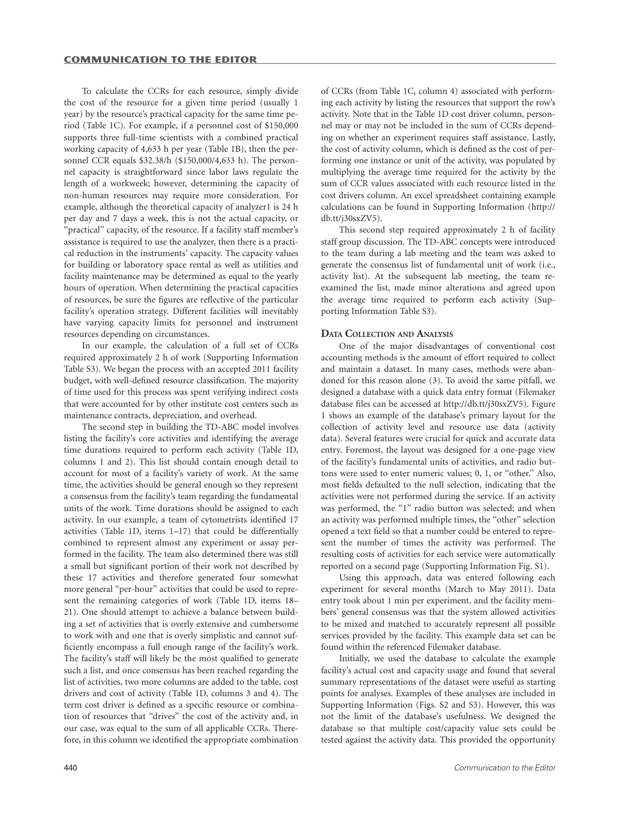To calculate the CCRs for each resource, simply divide the cost of the resource for a given time period (usually 1 year) by the resource's practical capacity for the same time period (Table 1C). For example, if a personnel cost of \$150,000 supports three full-time scientists with a combined practical working capacity of 4,633 h per year (Table 1B), then the personnel CCR equals \$32.38/h (\$150,000/4,633 h). The personnel capacity is straightforward since labor laws regulate the length of a workweek; however, determining the capacity of non-human resources may require more consideration. For example, although the theoretical capacity of analyzer1 is 24 h per day and 7 days a week, this is not the actual capacity, or "practical" capacity, of the resource. If a facility staff member's assistance is required to use the analyzer, then there is a practical reduction in the instruments' capacity. The capacity values for building or laboratory space rental as well as utilities and facility maintenance may be determined as equal to the yearly hours of operation. When determining the practical capacities of resources, be sure the figures are reflective of the particular facility's operation strategy. Different facilities will inevitably have varying capacity limits for personnel and instrument resources depending on circumstances.

In our example, the calculation of a full set of CCRs required approximately 2 h of work (Supporting Information Table S3). We began the process with an accepted 2011 facility budget, with well-defined resource classification. The majority of time used for this process was spent verifying indirect costs that were accounted for by other institute cost centers such as maintenance contracts, depreciation, and overhead.

The second step in building the TD-ABC model involves listing the facility's core activities and identifying the average time durations required to perform each activity (Table 1D, columns 1 and 2). This list should contain enough detail to account for most of a facility's variety of work. At the same time, the activities should be general enough so they represent a consensus from the facility's team regarding the fundamental units of the work. Time durations should be assigned to each activity. In our example, a team of cytometrists identified 17 activities (Table 1D, items 1–17) that could be differentially combined to represent almost any experiment or assay performed in the facility. The team also determined there was still a small but significant portion of their work not described by these 17 activities and therefore generated four somewhat more general "per-hour" activities that could be used to represent the remaining categories of work (Table 1D, items 18– 21). One should attempt to achieve a balance between building a set of activities that is overly extensive and cumbersome to work with and one that is overly simplistic and cannot sufficiently encompass a full enough range of the facility's work. The facility's staff will likely be the most qualified to generate such a list, and once consensus has been reached regarding the list of activities, two more columns are added to the table, cost drivers and cost of activity (Table 1D, columns 3 and 4). The term cost driver is defined as a specific resource or combination of resources that ''drives'' the cost of the activity and, in our case, was equal to the sum of all applicable CCRs. Therefore, in this column we identified the appropriate combination

of CCRs (from Table 1C, column 4) associated with performing each activity by listing the resources that support the row's activity. Note that in the Table 1D cost driver column, personnel may or may not be included in the sum of CCRs depending on whether an experiment requires staff assistance. Lastly, the cost of activity column, which is defined as the cost of performing one instance or unit of the activity, was populated by multiplying the average time required for the activity by the sum of CCR values associated with each resource listed in the cost drivers column. An excel spreadsheet containing example calculations can be found in Supporting Information (http:// db.tt/j30sxZV5).

This second step required approximately 2 h of facility staff group discussion. The TD-ABC concepts were introduced to the team during a lab meeting and the team was asked to generate the consensus list of fundamental unit of work (i.e., activity list). At the subsequent lab meeting, the team reexamined the list, made minor alterations and agreed upon the average time required to perform each activity (Supporting Information Table S3).

### DATA COLLECTION AND ANALYSIS

One of the major disadvantages of conventional cost accounting methods is the amount of effort required to collect and maintain a dataset. In many cases, methods were abandoned for this reason alone (3). To avoid the same pitfall, we designed a database with a quick data entry format (Filemaker database files can be accessed at http://db.tt/j30sxZV5). Figure 1 shows an example of the database's primary layout for the collection of activity level and resource use data (activity data). Several features were crucial for quick and accurate data entry. Foremost, the layout was designed for a one-page view of the facility's fundamental units of activities, and radio buttons were used to enter numeric values; 0, 1, or ''other.'' Also, most fields defaulted to the null selection, indicating that the activities were not performed during the service. If an activity was performed, the "1" radio button was selected; and when an activity was performed multiple times, the "other" selection opened a text field so that a number could be entered to represent the number of times the activity was performed. The resulting costs of activities for each service were automatically reported on a second page (Supporting Information Fig. S1).

Using this approach, data was entered following each experiment for several months (March to May 2011). Data entry took about 1 min per experiment, and the facility members' general consensus was that the system allowed activities to be mixed and matched to accurately represent all possible services provided by the facility. This example data set can be found within the referenced Filemaker database.

Initially, we used the database to calculate the example facility's actual cost and capacity usage and found that several summary representations of the dataset were useful as starting points for analyses. Examples of these analyses are included in Supporting Information (Figs. S2 and S3). However, this was not the limit of the database's usefulness. We designed the database so that multiple cost/capacity value sets could be tested against the activity data. This provided the opportunity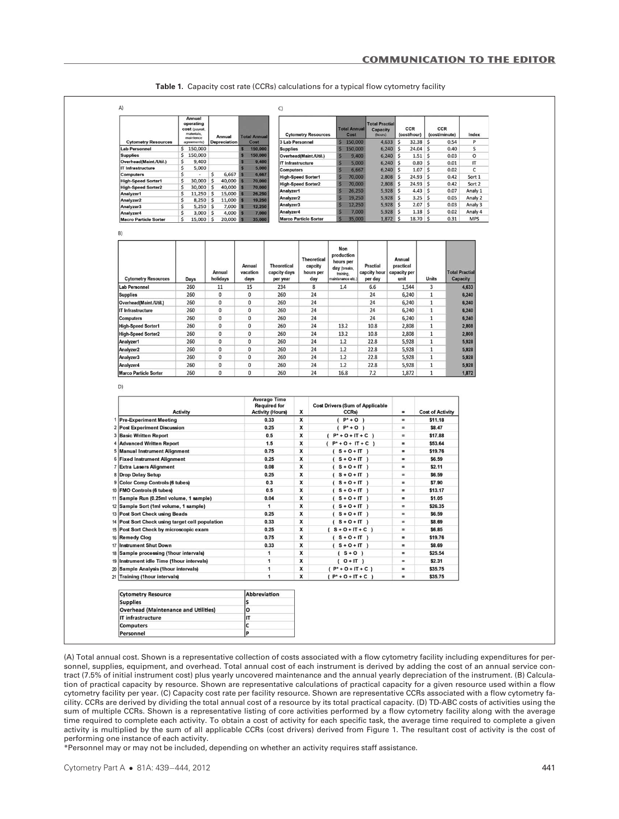|                                              |                 | Annual<br>operating<br>cost (payroll,<br>materials,<br>maintence | Annual                 | <b>Total Annual</b>        |                                                | <b>Cytometry Resources</b>                        | <b>Total Annual</b><br>Cost                                                    | <b>Total Practial</b><br>Capacity<br>(hours) | CCR<br>(cost/hour)                          |                         | CCR<br>(cost/minute) | Index                                    |
|----------------------------------------------|-----------------|------------------------------------------------------------------|------------------------|----------------------------|------------------------------------------------|---------------------------------------------------|--------------------------------------------------------------------------------|----------------------------------------------|---------------------------------------------|-------------------------|----------------------|------------------------------------------|
| <b>Cytometry Resources</b>                   |                 | agreements)                                                      | <b>Depreciation</b>    | Cost                       |                                                | 3 Lab Personnel                                   | \$<br>150,000                                                                  |                                              | 4,633<br>\$                                 | 32.38<br>\$             | 0.54                 | P                                        |
| ab Personnel                                 | \$.             | 150,000                                                          |                        | 150,000                    | <b>Supplies</b>                                |                                                   | $\mathsf{S}$<br>150,000                                                        |                                              | 6,240<br>Ś                                  | 24.04<br>Ś              | 0.40                 | S                                        |
| <b>Supplies</b>                              | \$              | 150,000                                                          |                        | 150,000                    |                                                | Overhead(Maint./Util.)                            | $\mathsf{S}$                                                                   | 9,400                                        | 6,240<br>\$                                 | 1.51<br>\$              | 0.03                 | $\Omega$                                 |
| Overhead(Maint./Util.)                       | \$              | 9,400                                                            |                        | 9,400                      |                                                | IT Infrastructure                                 | $\mathsf{S}$                                                                   | 5,000                                        | 6,240<br>\$                                 | 0.80<br>\$              | 0.01                 | IT                                       |
| <b>IT Infrastructure</b>                     | \$              | 5,000                                                            |                        | 5,000                      | <b>Computers</b>                               |                                                   | $\mathsf{S}$                                                                   | 6,667                                        | 6,240<br>Ŝ.                                 | 1.07<br><b>S</b>        | 0.02                 | с                                        |
| Computers                                    | \$              |                                                                  | 6,667                  | 6,667                      |                                                | <b>High-Speed Sorter1</b>                         | $\mathsf{S}$<br>70,000                                                         |                                              | 2,808<br>Ś                                  | 24.93<br>\$             | 0.42                 | Sort 1                                   |
| <b>High-Speed Sorter1</b>                    | \$              | 30,000                                                           | Ś<br>40,000            | 70,000                     |                                                | <b>High-Speed Sorter2</b>                         | $\boldsymbol{\zeta}$<br>70,000                                                 |                                              | 2,808<br>S                                  | 24.93<br>\$             | 0.42                 | Sort 2                                   |
| <b>High-Speed Sorter2</b>                    | \$              | 30,000                                                           | 40,000<br>s.           | 70,000                     | Analyzer1                                      |                                                   | $\boldsymbol{\zeta}$<br>26,250                                                 |                                              | 5,928                                       | 4.43<br>Ŝ               | 0.07                 | Analy 1                                  |
| Analyzer1                                    | \$              | 11.250                                                           | 15,000<br>Ŝ            | 26,250                     | Analyzer2                                      |                                                   | $\mathsf{S}$<br>19,250                                                         |                                              | 5,928                                       | 3.25<br>Ŝ               | 0.05                 | Analy 2                                  |
| Analyzer2                                    | \$              | 8,250                                                            | 11,000<br><sub>S</sub> | 19,250                     | Analyzer3                                      |                                                   | 12,250<br>$\mathsf{S}$                                                         |                                              | 5,928<br>s                                  | 2.07<br>\$              | 0.03                 | Analy 3                                  |
| Analyzer3                                    | \$<br>Ś         | 5,250<br>$3,000$ \$                                              | \$<br>7,000<br>4,000   | 12,250                     | Analyzer4                                      |                                                   | $\mathsf{S}$                                                                   | 7,000                                        | $5,928$ \$                                  | 1.18<br>Ś               | 0.02                 | Analy 4                                  |
| Analyzer4<br><b>Macro Particle Sorter</b>    | \$              | 15,000 \$                                                        | 20,000                 | 7,000<br>35,000            |                                                | <b>Marco Particle Sorter</b>                      | $\mathsf{S}$<br>35,000                                                         |                                              | $1,872$ \$                                  | 18.70<br><b>S</b>       | 0.31                 | <b>MPS</b>                               |
| B)                                           |                 |                                                                  |                        |                            |                                                |                                                   |                                                                                |                                              |                                             |                         |                      |                                          |
| <b>Cytometry Resources</b>                   | Days            |                                                                  | Annual<br>holidays     | Annual<br>vacation<br>days | <b>Theoretical</b><br>capcity days<br>per year | <b>Theoretical</b><br>capcity<br>hours per<br>day | Non<br>production<br>hours per<br>day (breaks,<br>training,<br>naintenance etc | <b>Practial</b><br>capcity hour<br>per day   | Annual<br>practical<br>capacity per<br>unit | <b>Units</b>            |                      | <b>Total Practial</b><br><b>Capacity</b> |
| Lab Personnel                                | 260             |                                                                  | 11                     | 15                         | 234                                            | 8                                                 | 1.4                                                                            | 6.6                                          | 1,544                                       | 3                       |                      | 4,633                                    |
| <b>Supplies</b>                              | 260             |                                                                  | 0                      | 0                          | 260                                            | 24                                                |                                                                                | 24                                           | 6,240                                       | $1\,$                   |                      | 6,240                                    |
| Overhead(Maint./Util.)                       | 260             |                                                                  | 0                      | $\mathbf 0$                | 260                                            | 24                                                |                                                                                | 24                                           | 6,240                                       | $1\,$                   |                      | 6,240                                    |
|                                              |                 |                                                                  |                        |                            |                                                |                                                   |                                                                                |                                              |                                             |                         |                      |                                          |
| IT Infrastructure                            | 260             |                                                                  | 0                      | 0                          | 260                                            | 24                                                |                                                                                | 24                                           | 6,240                                       | $\,1\,$                 |                      | 6,240                                    |
| <b>Computers</b>                             | 260             |                                                                  | 0                      | 0                          | 260                                            | 24                                                |                                                                                | 24                                           | 6,240                                       | $\mathbf 1$             |                      | 6,240                                    |
| <b>High-Speed Sorter1</b>                    | 260             |                                                                  | 0                      | 0                          | 260                                            | 24                                                | 13.2                                                                           | 10.8                                         | 2,808                                       | $\mathbf 1$             |                      | 2,808                                    |
| <b>High-Speed Sorter2</b>                    | 260             |                                                                  | 0                      | $\bf{0}$                   | 260                                            | 24                                                | 13.2                                                                           | 10.8                                         | 2,808                                       | $\mathbf{1}$            |                      | 2,808                                    |
| Analyzer1                                    | 260             |                                                                  | $\bf{0}$               | $\mathbf{0}$               | 260                                            | 24                                                | 1.2                                                                            | 22.8                                         | 5,928                                       | $\mathbf 1$             |                      | 5,928                                    |
| Analyzer2                                    | 260             |                                                                  | 0                      | 0                          | 260                                            | 24                                                | 1.2                                                                            | 22.8                                         | 5,928                                       | $\,1$                   |                      | 5,928                                    |
| Analyzer3                                    | 260             |                                                                  | 0                      | 0                          | 260                                            | 24                                                | 1.2                                                                            | 22.8                                         | 5,928                                       | $\,1\,$                 |                      | 5,928                                    |
|                                              | 260             |                                                                  | $\mathbf{0}$           | 0                          | 260                                            | 24                                                | 1.2                                                                            | 22.8                                         | 5,928                                       | $\mathbf{1}$            |                      | 5,928                                    |
| Analyzer4                                    | 260             |                                                                  | 0                      | 0                          | 260                                            | 24                                                | 16.8                                                                           | 7.2                                          | 1,872                                       | $\mathbf{1}$            |                      | 1,872                                    |
| <b>Marco Particle Sorter</b>                 |                 |                                                                  |                        |                            |                                                |                                                   |                                                                                |                                              |                                             |                         |                      |                                          |
| D)                                           |                 |                                                                  |                        |                            | <b>Average Time</b>                            |                                                   | <b>Cost Drivers (Sum of Applicable</b>                                         |                                              |                                             |                         |                      |                                          |
|                                              | <b>Activity</b> |                                                                  |                        |                            | <b>Required for</b><br><b>Activity (Hours)</b> | x                                                 | CCRs)                                                                          |                                              | $\equiv$                                    | <b>Cost of Activity</b> |                      |                                          |
|                                              |                 |                                                                  |                        |                            | 0.33                                           | X                                                 | $(P^* + O)$                                                                    |                                              | $\equiv$                                    | \$11.18                 |                      |                                          |
| 1 Pre-Experiment Meeting                     |                 |                                                                  |                        |                            | 0.25                                           | x                                                 |                                                                                |                                              | $\equiv$                                    | \$8.47                  |                      |                                          |
| <b>Post Experiment Discussion</b>            |                 |                                                                  |                        |                            |                                                |                                                   | $(P^* + O)$                                                                    |                                              |                                             |                         |                      |                                          |
| <b>Basic Written Report</b>                  |                 |                                                                  |                        |                            | 0.5                                            | x                                                 | $(P^* + O + IT + C)$                                                           |                                              | $\equiv$                                    | \$17.88                 |                      |                                          |
| <b>Advanced Written Report</b>               |                 |                                                                  |                        |                            | 1.5                                            | x                                                 | $(P^* + O + IT + C)$                                                           |                                              | $\equiv$                                    | \$53.64                 |                      |                                          |
| <b>Manual Instrument Alignment</b>           |                 |                                                                  |                        |                            | 0.75                                           | X                                                 | $(S+O+IT)$                                                                     |                                              | $\equiv$                                    | \$19.76                 |                      |                                          |
| 6 Fixed Instrument Alignment                 |                 |                                                                  |                        |                            | 0.25                                           | $\pmb{\mathsf{x}}$                                | $(S + O + IT)$                                                                 |                                              | $\equiv$                                    | \$6.59                  |                      |                                          |
| <b>Extra Lasers Alignment</b>                |                 |                                                                  |                        |                            | 0.08                                           | x                                                 | $(S+O+IT)$                                                                     |                                              | $\equiv$                                    | \$2.11                  |                      |                                          |
| <b>Drop Delay Setup</b>                      |                 |                                                                  |                        |                            | 0.25                                           | X                                                 | $(S+O+IT)$                                                                     |                                              | $\equiv$                                    | \$6.59                  |                      |                                          |
| Color Comp Controls (6 tubes)                |                 |                                                                  |                        |                            | 0.3                                            | X                                                 | $(S+O+IT)$                                                                     |                                              | $\equiv$                                    | \$7.90                  |                      |                                          |
| <b>FMO Controls (6 tubes)</b>                |                 |                                                                  |                        |                            |                                                | x                                                 | $(S+O+IT)$                                                                     |                                              | $\equiv$                                    | \$13.17                 |                      |                                          |
|                                              |                 |                                                                  |                        |                            | 0.5                                            |                                                   |                                                                                |                                              |                                             |                         |                      |                                          |
| Sample Run (0.25ml volume, 1 sample)         |                 |                                                                  |                        |                            | 0.04                                           | X                                                 | $(S+O+IT)$                                                                     |                                              | $\equiv$                                    | \$1.05                  |                      |                                          |
| Sample Sort (1ml volume, 1 sample)           |                 |                                                                  |                        |                            | $\mathbf{1}$                                   | X                                                 | $(S+O+IT)$                                                                     |                                              | $\equiv$                                    | \$26.35                 |                      |                                          |
| Post Sort Check using Beads                  |                 |                                                                  |                        |                            | 0.25                                           | X                                                 | $(S+O+IT)$                                                                     |                                              | $\equiv$                                    | \$6.59                  |                      |                                          |
| Post Sort Check using target cell population |                 |                                                                  |                        |                            | 0.33                                           | x                                                 | $(S+O+IT)$                                                                     |                                              | $\equiv$                                    | \$8.69                  |                      |                                          |
| Post Sort Check by microscopic exam          |                 |                                                                  |                        |                            | 0.25                                           | x                                                 | $(S + O + IT + C)$                                                             |                                              | $\equiv$                                    | \$6.85                  |                      |                                          |
| <b>Remedy Clog</b>                           |                 |                                                                  |                        |                            | 0.75                                           | X                                                 | $(S+O+IT)$                                                                     |                                              | $\equiv$                                    | \$19.76                 |                      |                                          |
| <b>Instrument Shut Down</b>                  |                 |                                                                  |                        |                            | 0.33                                           | x                                                 | $(S+O+IT)$                                                                     |                                              | $\equiv$                                    | \$8.69                  |                      |                                          |
|                                              |                 |                                                                  |                        |                            |                                                | X                                                 |                                                                                |                                              |                                             |                         |                      |                                          |
| Sample processing (1hour intervals)          |                 |                                                                  |                        |                            | 1                                              |                                                   | $(S+O)$                                                                        |                                              | Ξ                                           | \$25.54                 |                      |                                          |
| Instrument idle Time (1hour intervals)       |                 |                                                                  |                        |                            | 1                                              | X                                                 | $(0+IT)$                                                                       |                                              | $\equiv$                                    | \$2.31                  |                      |                                          |
| Sample Analysis (1hour intervals)            |                 |                                                                  |                        |                            | 1                                              | X                                                 | $(P^* + O + IT + C)$                                                           |                                              | $\equiv$                                    | \$35.75                 |                      |                                          |
| 21 Training (1hour intervals)                |                 |                                                                  |                        |                            | 1                                              | x                                                 | $(P^* + O + IT + C)$                                                           |                                              | $\equiv$                                    | \$35.75                 |                      |                                          |
| <b>Cytometry Resource</b><br>Cunnlige        |                 |                                                                  |                        | Abbreviation               |                                                |                                                   |                                                                                |                                              |                                             |                         |                      |                                          |

|  | <b>Table 1.</b> Capacity cost rate (CCRs) calculations for a typical flow cytometry facility |  |  |  |  |
|--|----------------------------------------------------------------------------------------------|--|--|--|--|

Overhead (Maintenance and Utilities) IT infrastructure lπ Computers Personnel

(A) Total annual cost. Shown is a representative collection of costs associated with a flow cytometry facility including expenditures for personnel, supplies, equipment, and overhead. Total annual cost of each instrument is derived by adding the cost of an annual service contract (7.5% of initial instrument cost) plus yearly uncovered maintenance and the annual yearly depreciation of the instrument. (B) Calculation of practical capacity by resource. Shown are representative calculations of practical capacity for a given resource used within a flow cytometry facility per year. (C) Capacity cost rate per facility resource. Shown are representative CCRs associated with a flow cytometry facility. CCRs are derived by dividing the total annual cost of a resource by its total practical capacity. (D) TD-ABC costs of activities using the sum of multiple CCRs. Shown is a representative listing of core activities performed by a flow cytometry facility along with the average time required to complete each activity. To obtain a cost of activity for each specific task, the average time required to complete a given activity is multiplied by the sum of all applicable CCRs (cost drivers) derived from Figure 1. The resultant cost of activity is the cost of performing one instance of each activity.

\*Personnel may or may not be included, depending on whether an activity requires staff assistance.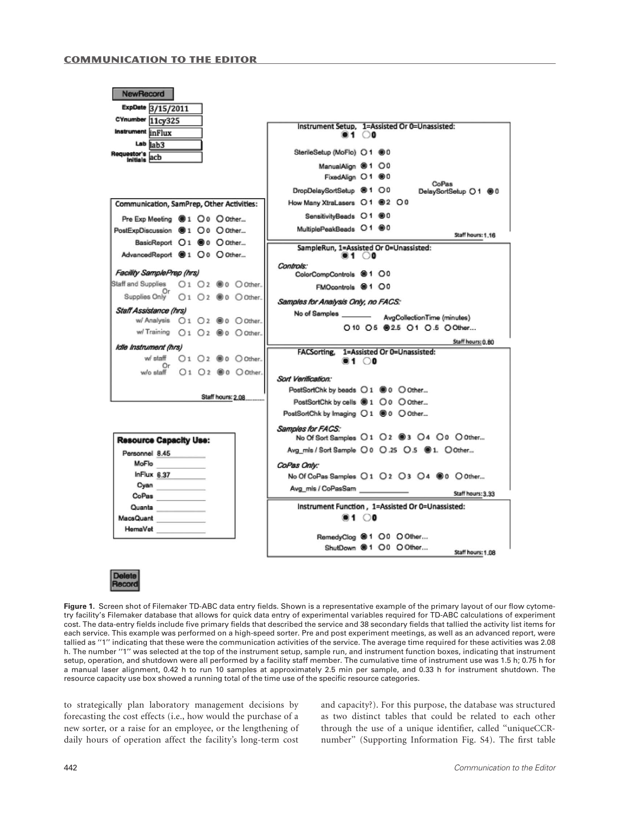

Figure 1. Screen shot of Filemaker TD-ABC data entry fields. Shown is a representative example of the primary layout of our flow cytometry facility's Filemaker database that allows for quick data entry of experimental variables required for TD-ABC calculations of experiment cost. The data-entry fields include five primary fields that described the service and 38 secondary fields that tallied the activity list items for each service. This example was performed on a high-speed sorter. Pre and post experiment meetings, as well as an advanced report, were tallied as ''1'' indicating that these were the communication activities of the service. The average time required for these activities was 2.08 h. The number ''1'' was selected at the top of the instrument setup, sample run, and instrument function boxes, indicating that instrument setup, operation, and shutdown were all performed by a facility staff member. The cumulative time of instrument use was 1.5 h; 0.75 h for a manual laser alignment, 0.42 h to run 10 samples at approximately 2.5 min per sample, and 0.33 h for instrument shutdown. The resource capacity use box showed a running total of the time use of the specific resource categories.

to strategically plan laboratory management decisions by forecasting the cost effects (i.e., how would the purchase of a new sorter, or a raise for an employee, or the lengthening of daily hours of operation affect the facility's long-term cost and capacity?). For this purpose, the database was structured as two distinct tables that could be related to each other through the use of a unique identifier, called ''uniqueCCRnumber'' (Supporting Information Fig. S4). The first table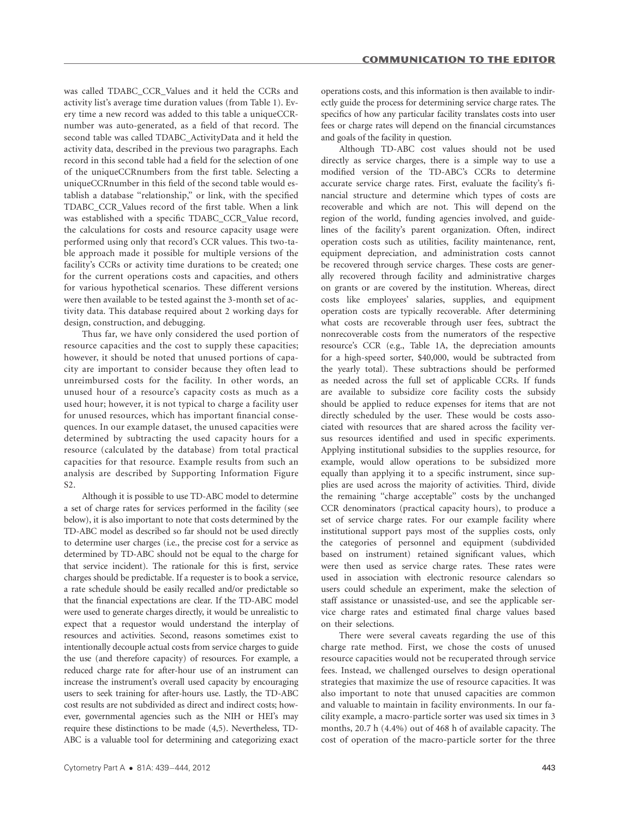was called TDABC\_CCR\_Values and it held the CCRs and activity list's average time duration values (from Table 1). Every time a new record was added to this table a uniqueCCRnumber was auto-generated, as a field of that record. The second table was called TDABC\_ActivityData and it held the activity data, described in the previous two paragraphs. Each record in this second table had a field for the selection of one of the uniqueCCRnumbers from the first table. Selecting a uniqueCCRnumber in this field of the second table would establish a database ''relationship,'' or link, with the specified TDABC\_CCR\_Values record of the first table. When a link was established with a specific TDABC\_CCR\_Value record, the calculations for costs and resource capacity usage were performed using only that record's CCR values. This two-table approach made it possible for multiple versions of the facility's CCRs or activity time durations to be created; one for the current operations costs and capacities, and others for various hypothetical scenarios. These different versions were then available to be tested against the 3-month set of activity data. This database required about 2 working days for design, construction, and debugging.

Thus far, we have only considered the used portion of resource capacities and the cost to supply these capacities; however, it should be noted that unused portions of capacity are important to consider because they often lead to unreimbursed costs for the facility. In other words, an unused hour of a resource's capacity costs as much as a used hour; however, it is not typical to charge a facility user for unused resources, which has important financial consequences. In our example dataset, the unused capacities were determined by subtracting the used capacity hours for a resource (calculated by the database) from total practical capacities for that resource. Example results from such an analysis are described by Supporting Information Figure S2.

Although it is possible to use TD-ABC model to determine a set of charge rates for services performed in the facility (see below), it is also important to note that costs determined by the TD-ABC model as described so far should not be used directly to determine user charges (i.e., the precise cost for a service as determined by TD-ABC should not be equal to the charge for that service incident). The rationale for this is first, service charges should be predictable. If a requester is to book a service, a rate schedule should be easily recalled and/or predictable so that the financial expectations are clear. If the TD-ABC model were used to generate charges directly, it would be unrealistic to expect that a requestor would understand the interplay of resources and activities. Second, reasons sometimes exist to intentionally decouple actual costs from service charges to guide the use (and therefore capacity) of resources. For example, a reduced charge rate for after-hour use of an instrument can increase the instrument's overall used capacity by encouraging users to seek training for after-hours use. Lastly, the TD-ABC cost results are not subdivided as direct and indirect costs; however, governmental agencies such as the NIH or HEI's may require these distinctions to be made (4,5). Nevertheless, TD-ABC is a valuable tool for determining and categorizing exact

operations costs, and this information is then available to indirectly guide the process for determining service charge rates. The specifics of how any particular facility translates costs into user fees or charge rates will depend on the financial circumstances and goals of the facility in question.

Although TD-ABC cost values should not be used directly as service charges, there is a simple way to use a modified version of the TD-ABC's CCRs to determine accurate service charge rates. First, evaluate the facility's financial structure and determine which types of costs are recoverable and which are not. This will depend on the region of the world, funding agencies involved, and guidelines of the facility's parent organization. Often, indirect operation costs such as utilities, facility maintenance, rent, equipment depreciation, and administration costs cannot be recovered through service charges. These costs are generally recovered through facility and administrative charges on grants or are covered by the institution. Whereas, direct costs like employees' salaries, supplies, and equipment operation costs are typically recoverable. After determining what costs are recoverable through user fees, subtract the nonrecoverable costs from the numerators of the respective resource's CCR (e.g., Table 1A, the depreciation amounts for a high-speed sorter, \$40,000, would be subtracted from the yearly total). These subtractions should be performed as needed across the full set of applicable CCRs. If funds are available to subsidize core facility costs the subsidy should be applied to reduce expenses for items that are not directly scheduled by the user. These would be costs associated with resources that are shared across the facility versus resources identified and used in specific experiments. Applying institutional subsidies to the supplies resource, for example, would allow operations to be subsidized more equally than applying it to a specific instrument, since supplies are used across the majority of activities. Third, divide the remaining ''charge acceptable'' costs by the unchanged CCR denominators (practical capacity hours), to produce a set of service charge rates. For our example facility where institutional support pays most of the supplies costs, only the categories of personnel and equipment (subdivided based on instrument) retained significant values, which were then used as service charge rates. These rates were used in association with electronic resource calendars so users could schedule an experiment, make the selection of staff assistance or unassisted-use, and see the applicable service charge rates and estimated final charge values based on their selections.

There were several caveats regarding the use of this charge rate method. First, we chose the costs of unused resource capacities would not be recuperated through service fees. Instead, we challenged ourselves to design operational strategies that maximize the use of resource capacities. It was also important to note that unused capacities are common and valuable to maintain in facility environments. In our facility example, a macro-particle sorter was used six times in 3 months, 20.7 h (4.4%) out of 468 h of available capacity. The cost of operation of the macro-particle sorter for the three